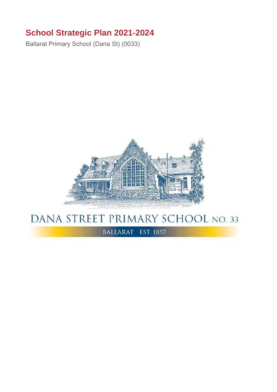## **School Strategic Plan 2021-2024**

Ballarat Primary School (Dana St) (0033)



## DANA STREET PRIMARY SCHOOL NO. 33

BALLARAT EST. 1857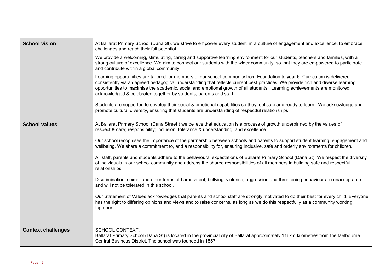| <b>School vision</b>      | At Ballarat Primary School (Dana St), we strive to empower every student, in a culture of engagement and excellence, to embrace<br>challenges and reach their full potential.                                                                                                                                                                                                                                                                                    |
|---------------------------|------------------------------------------------------------------------------------------------------------------------------------------------------------------------------------------------------------------------------------------------------------------------------------------------------------------------------------------------------------------------------------------------------------------------------------------------------------------|
|                           | We provide a welcoming, stimulating, caring and supportive learning environment for our students, teachers and families, with a<br>strong culture of excellence. We aim to connect our students with the wider community, so that they are empowered to participate<br>and contribute within a global community.                                                                                                                                                 |
|                           | Learning opportunities are tailored for members of our school community from Foundation to year 6. Curriculum is delivered<br>consistently via an agreed pedagogical understanding that reflects current best practices. We provide rich and diverse learning<br>opportunities to maximise the academic, social and emotional growth of all students. Learning achievements are monitored,<br>acknowledged & celebrated together by students, parents and staff. |
|                           | Students are supported to develop their social & emotional capabilities so they feel safe and ready to learn. We acknowledge and<br>promote cultural diversity, ensuring that students are understanding of respectful relationships.                                                                                                                                                                                                                            |
| <b>School values</b>      | At Ballarat Primary School (Dana Street) we believe that education is a process of growth underpinned by the values of<br>respect & care; responsibility; inclusion, tolerance & understanding; and excellence.                                                                                                                                                                                                                                                  |
|                           | Our school recognises the importance of the partnership between schools and parents to support student learning, engagement and<br>wellbeing. We share a commitment to, and a responsibility for, ensuring inclusive, safe and orderly environments for children.                                                                                                                                                                                                |
|                           | All staff, parents and students adhere to the behavioural expectations of Ballarat Primary School (Dana St). We respect the diversity<br>of individuals in our school community and address the shared responsibilities of all members in building safe and respectful<br>relationships.                                                                                                                                                                         |
|                           | Discrimination, sexual and other forms of harassment, bullying, violence, aggression and threatening behaviour are unacceptable<br>and will not be tolerated in this school.                                                                                                                                                                                                                                                                                     |
|                           | Our Statement of Values acknowledges that parents and school staff are strongly motivated to do their best for every child. Everyone<br>has the right to differing opinions and views and to raise concerns, as long as we do this respectfully as a community working<br>together.                                                                                                                                                                              |
| <b>Context challenges</b> | SCHOOL CONTEXT.<br>Ballarat Primary School (Dana St) is located in the provincial city of Ballarat approximately 116km kilometres from the Melbourne<br>Central Business District. The school was founded in 1857.                                                                                                                                                                                                                                               |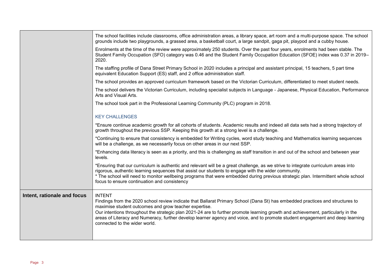|                             | The school facilities include classrooms, office administration areas, a library space, art room and a multi-purpose space. The school<br>grounds include two playgrounds, a grassed area, a basketball court, a large sandpit, gaga pit, playpod and a cubby house.                                                                                                                                                                                                                                          |
|-----------------------------|---------------------------------------------------------------------------------------------------------------------------------------------------------------------------------------------------------------------------------------------------------------------------------------------------------------------------------------------------------------------------------------------------------------------------------------------------------------------------------------------------------------|
|                             | Enrolments at the time of the review were approximately 250 students. Over the past four years, enrolments had been stable. The<br>Student Family Occupation (SFO) category was 0.46 and the Student Family Occupation Education (SFOE) index was 0.37 in 2019–<br>2020.                                                                                                                                                                                                                                      |
|                             | The staffing profile of Dana Street Primary School in 2020 includes a principal and assistant principal, 15 teachers, 5 part time<br>equivalent Education Support (ES) staff, and 2 office administration staff.                                                                                                                                                                                                                                                                                              |
|                             | The school provides an approved curriculum framework based on the Victorian Curriculum, differentiated to meet student needs.                                                                                                                                                                                                                                                                                                                                                                                 |
|                             | The school delivers the Victorian Curriculum, including specialist subjects in Language - Japanese, Physical Education, Performance<br>Arts and Visual Arts.                                                                                                                                                                                                                                                                                                                                                  |
|                             | The school took part in the Professional Learning Community (PLC) program in 2018.                                                                                                                                                                                                                                                                                                                                                                                                                            |
|                             | <b>KEY CHALLENGES</b>                                                                                                                                                                                                                                                                                                                                                                                                                                                                                         |
|                             | *Ensure continue academic growth for all cohorts of students. Academic results and indeed all data sets had a strong trajectory of<br>growth throughout the previous SSP. Keeping this growth at a strong level is a challenge.                                                                                                                                                                                                                                                                               |
|                             | *Continuing to ensure that consistency is embedded for Writing cycles, word study teaching and Mathematics learning sequences<br>will be a challenge, as we necessarily focus on other areas in our next SSP.                                                                                                                                                                                                                                                                                                 |
|                             | *Enhancing data literacy is seen as a priority, and this is challenging as staff transition in and out of the school and between year<br>levels.                                                                                                                                                                                                                                                                                                                                                              |
|                             | *Ensuring that our curriculum is authentic and relevant will be a great challenge, as we strive to integrate curriculum areas into<br>rigorous, authentic learning sequences that assist our students to engage with the wider community.<br>* The school will need to monitor wellbeing programs that were embedded during previous strategic plan. Intermittent whole school<br>focus to ensure continuation and consistency                                                                                |
| Intent, rationale and focus | <b>INTENT</b><br>Findings from the 2020 school review indicate that Ballarat Primary School (Dana St) has embedded practices and structures to<br>maximise student outcomes and grow teacher expertise.<br>Our intentions throughout the strategic plan 2021-24 are to further promote learning growth and achievement, particularly in the<br>areas of Literacy and Numeracy, further develop learner agency and voice, and to promote student engagement and deep learning<br>connected to the wider world. |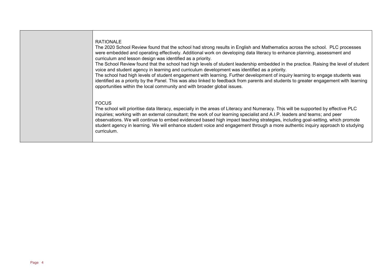## RATIONALE

The 2020 School Review found that the school had strong results in English and Mathematics across the school. PLC processes were embedded and operating effectively. Additional work on developing data literacy to enhance planning, assessment and curriculum and lesson design was identified as a priority.

The School Review found that the school had high levels of student leadership embedded in the practice. Raising the level of student voice and student agency in learning and curriculum development was identified as a priority.

The school had high levels of student engagement with learning. Further development of inquiry learning to engage students was identified as a priority by the Panel. This was also linked to feedback from parents and students to greater engagement with learning opportunities within the local community and with broader global issues.

## FOCUS

The school will prioritise data literacy, especially in the areas of Literacy and Numeracy. This will be supported by effective PLC inquiries; working with an external consultant; the work of our learning specialist and A.I.P. leaders and teams; and peer observations. We will continue to embed evidenced based high impact teaching strategies, including goal-setting, which promote student agency in learning. We will enhance student voice and engagement through a more authentic inquiry approach to studying curriculum.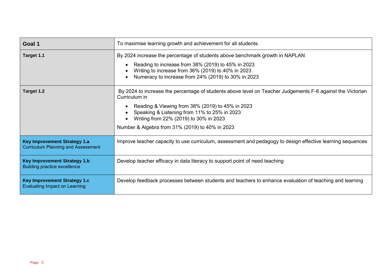| Goal 1                                                                           | To maximise learning growth and achievement for all students.                                                                                                                                                                                                                                                                |
|----------------------------------------------------------------------------------|------------------------------------------------------------------------------------------------------------------------------------------------------------------------------------------------------------------------------------------------------------------------------------------------------------------------------|
| Target 1.1                                                                       | By 2024 increase the percentage of students above benchmark growth in NAPLAN<br>Reading to increase from 38% (2019) to 45% in 2023<br>Writing to increase from 36% (2019) to 40% in 2023<br>Numeracy to increase from 24% (2019) to 30% in 2023                                                                              |
| Target 1.2                                                                       | By 2024 to increase the percentage of students above level on Teacher Judgements F-6 against the Victorian<br>Curriculum in<br>Reading & Viewing from 38% (2019) to 45% in 2023<br>Speaking & Listening from 11% to 25% in 2023<br>Writing from 22% (2019) to 30% in 2023<br>Number & Algebra from 31% (2019) to 40% in 2023 |
| <b>Key Improvement Strategy 1.a</b><br><b>Curriculum Planning and Assessment</b> | Improve teacher capacity to use curriculum, assessment and pedagogy to design effective learning sequences                                                                                                                                                                                                                   |
| <b>Key Improvement Strategy 1.b</b><br><b>Building practice excellence</b>       | Develop teacher efficacy in data literacy to support point of need teaching                                                                                                                                                                                                                                                  |
| <b>Key Improvement Strategy 1.c</b><br><b>Evaluating Impact on Learning</b>      | Develop feedback processes between students and teachers to enhance evaluation of teaching and learning                                                                                                                                                                                                                      |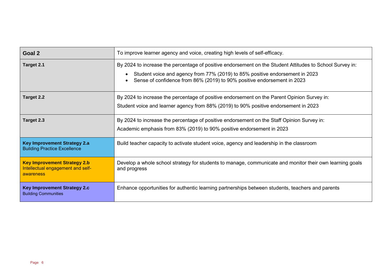| Goal 2                                                                                | To improve learner agency and voice, creating high levels of self-efficacy.                                                                                                                                                                                         |
|---------------------------------------------------------------------------------------|---------------------------------------------------------------------------------------------------------------------------------------------------------------------------------------------------------------------------------------------------------------------|
| Target 2.1                                                                            | By 2024 to increase the percentage of positive endorsement on the Student Attitudes to School Survey in:<br>Student voice and agency from 77% (2019) to 85% positive endorsement in 2023<br>Sense of confidence from 86% (2019) to 90% positive endorsement in 2023 |
| Target 2.2                                                                            | By 2024 to increase the percentage of positive endorsement on the Parent Opinion Survey in:<br>Student voice and learner agency from 88% (2019) to 90% positive endorsement in 2023                                                                                 |
| Target 2.3                                                                            | By 2024 to increase the percentage of positive endorsement on the Staff Opinion Survey in:<br>Academic emphasis from 83% (2019) to 90% positive endorsement in 2023                                                                                                 |
| <b>Key Improvement Strategy 2.a</b><br><b>Building Practice Excellence</b>            | Build teacher capacity to activate student voice, agency and leadership in the classroom                                                                                                                                                                            |
| <b>Key Improvement Strategy 2.b</b><br>Intellectual engagement and self-<br>awareness | Develop a whole school strategy for students to manage, communicate and monitor their own learning goals<br>and progress                                                                                                                                            |
| <b>Key Improvement Strategy 2.c</b><br><b>Building Communities</b>                    | Enhance opportunities for authentic learning partnerships between students, teachers and parents                                                                                                                                                                    |